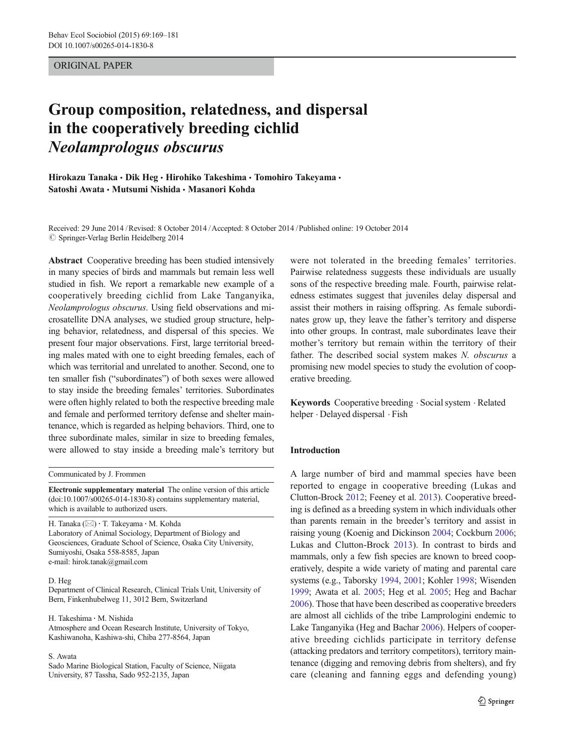ORIGINAL PAPER

# Group composition, relatedness, and dispersal in the cooperatively breeding cichlid  $\mathbf{r}$  and  $\mathbf{r}$  and  $\mathbf{r}$

Hirokazu Tanaka · Dik Heg · Hirohiko Takeshima · Tomohiro Takeyama · Satoshi Awata • Mutsumi Nishida • Masanori Kohda

Received: 29 June 2014 /Revised: 8 October 2014 /Accepted: 8 October 2014 / Published online: 19 October 2014  $\oslash$  Springer-Verlag Berlin Heidelberg 2014

Abstract Cooperative breeding has been studied intensively in many species of birds and mammals but remain less well studied in fish. We report a remarkable new example of a cooperatively breeding cichlid from Lake Tanganyika, Neolamprologus obscurus. Using field observations and microsatellite DNA analyses, we studied group structure, helping behavior, relatedness, and dispersal of this species. We present four major observations. First, large territorial breeding males mated with one to eight breeding females, each of which was territorial and unrelated to another. Second, one to ten smaller fish ("subordinates") of both sexes were allowed to stay inside the breeding females' territories. Subordinates were often highly related to both the respective breeding male and female and performed territory defense and shelter maintenance, which is regarded as helping behaviors. Third, one to three subordinate males, similar in size to breeding females, were allowed to stay inside a breeding male's territory but

Communicated by J. Frommen

Electronic supplementary material The online version of this article (doi[:10.1007/s00265-014-1830-8](http://dx.doi.org/10.1007/s00265-014-1830-8)) contains supplementary material, which is available to authorized users.

H. Tanaka (⊠) · T. Takeyama · M. Kohda Laboratory of Animal Sociology, Department of Biology and Geosciences, Graduate School of Science, Osaka City University, Sumiyoshi, Osaka 558-8585, Japan e-mail: hirok.tanak@gmail.com

#### D. Heg

Department of Clinical Research, Clinical Trials Unit, University of Bern, Finkenhubelweg 11, 3012 Bern, Switzerland

H. Takeshima : M. Nishida Atmosphere and Ocean Research Institute, University of Tokyo, Kashiwanoha, Kashiwa-shi, Chiba 277-8564, Japan

#### S. Awata

Sado Marine Biological Station, Faculty of Science, Niigata University, 87 Tassha, Sado 952-2135, Japan

were not tolerated in the breeding females' territories. Pairwise relatedness suggests these individuals are usually sons of the respective breeding male. Fourth, pairwise relatedness estimates suggest that juveniles delay dispersal and assist their mothers in raising offspring. As female subordinates grow up, they leave the father's territory and disperse into other groups. In contrast, male subordinates leave their mother's territory but remain within the territory of their father. The described social system makes N. obscurus a promising new model species to study the evolution of cooperative breeding.

Keywords Cooperative breeding . Social system . Related helper . Delayed dispersal . Fish

# Introduction

A large number of bird and mammal species have been reported to engage in cooperative breeding (Lukas and Clutton-Brock [2012](#page-11-0); Feeney et al. [2013](#page-11-0)). Cooperative breeding is defined as a breeding system in which individuals other than parents remain in the breeder's territory and assist in raising young (Koenig and Dickinson [2004;](#page-11-0) Cockburn [2006;](#page-11-0) Lukas and Clutton-Brock [2013](#page-11-0)). In contrast to birds and mammals, only a few fish species are known to breed cooperatively, despite a wide variety of mating and parental care systems (e.g., Taborsky [1994](#page-12-0), [2001](#page-12-0); Kohler [1998](#page-11-0); Wisenden [1999;](#page-12-0) Awata et al. [2005](#page-10-0); Heg et al. [2005;](#page-11-0) Heg and Bachar [2006\)](#page-11-0). Those that have been described as cooperative breeders are almost all cichlids of the tribe Lamprologini endemic to Lake Tanganyika (Heg and Bachar [2006\)](#page-11-0). Helpers of cooperative breeding cichlids participate in territory defense (attacking predators and territory competitors), territory maintenance (digging and removing debris from shelters), and fry care (cleaning and fanning eggs and defending young)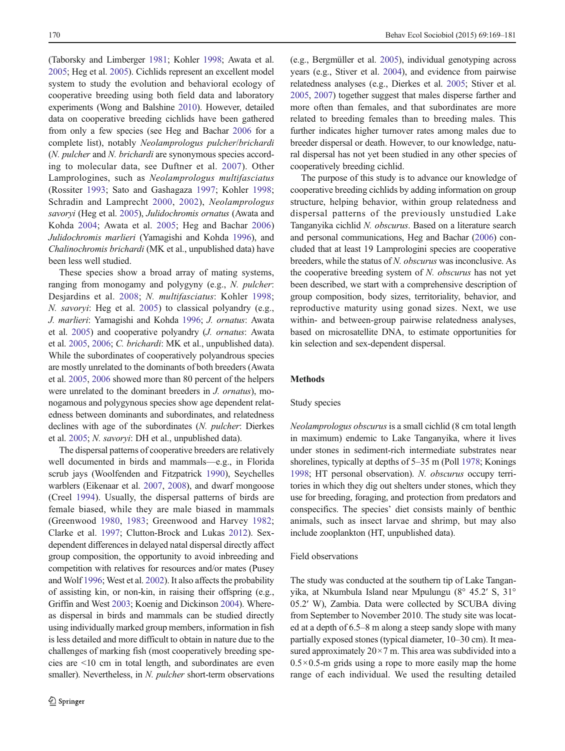(Taborsky and Limberger [1981;](#page-12-0) Kohler [1998;](#page-11-0) Awata et al. [2005;](#page-10-0) Heg et al. [2005](#page-11-0)). Cichlids represent an excellent model system to study the evolution and behavioral ecology of cooperative breeding using both field data and laboratory experiments (Wong and Balshine [2010\)](#page-12-0). However, detailed data on cooperative breeding cichlids have been gathered from only a few species (see Heg and Bachar [2006](#page-11-0) for a complete list), notably Neolamprologus pulcher/brichardi (N. pulcher and N. brichardi are synonymous species according to molecular data, see Duftner et al. [2007\)](#page-11-0). Other Lamprologines, such as Neolamprologus multifasciatus (Rossiter [1993](#page-11-0); Sato and Gashagaza [1997](#page-11-0); Kohler [1998](#page-11-0); Schradin and Lamprecht [2000,](#page-12-0) [2002\)](#page-12-0), Neolamprologus savoryi (Heg et al. [2005\)](#page-11-0), Julidochromis ornatus (Awata and Kohda [2004;](#page-10-0) Awata et al. [2005;](#page-10-0) Heg and Bachar [2006\)](#page-11-0) Julidochromis marlieri (Yamagishi and Kohda [1996\)](#page-12-0), and Chalinochromis brichardi (MK et al., unpublished data) have been less well studied.

These species show a broad array of mating systems, ranging from monogamy and polygyny (e.g., N. pulcher: Desjardins et al. [2008](#page-11-0); N. multifasciatus: Kohler [1998](#page-11-0); N. savoryi: Heg et al. [2005](#page-11-0)) to classical polyandry (e.g., J. marlieri: Yamagishi and Kohda [1996;](#page-12-0) J. ornatus: Awata et al. [2005](#page-10-0)) and cooperative polyandry (J. ornatus: Awata et al. [2005](#page-10-0), [2006;](#page-10-0) C. brichardi: MK et al., unpublished data). While the subordinates of cooperatively polyandrous species are mostly unrelated to the dominants of both breeders (Awata et al. [2005,](#page-10-0) [2006](#page-10-0) showed more than 80 percent of the helpers were unrelated to the dominant breeders in J. ornatus), monogamous and polygynous species show age dependent relatedness between dominants and subordinates, and relatedness declines with age of the subordinates (N. pulcher: Dierkes et al. [2005](#page-11-0); N. savoryi: DH et al., unpublished data).

The dispersal patterns of cooperative breeders are relatively well documented in birds and mammals—e.g., in Florida scrub jays (Woolfenden and Fitzpatrick [1990](#page-12-0)), Seychelles warblers (Eikenaar et al. [2007](#page-11-0), [2008](#page-11-0)), and dwarf mongoose (Creel [1994](#page-11-0)). Usually, the dispersal patterns of birds are female biased, while they are male biased in mammals (Greenwood [1980](#page-11-0), [1983;](#page-11-0) Greenwood and Harvey [1982](#page-11-0); Clarke et al. [1997](#page-11-0); Clutton-Brock and Lukas [2012](#page-11-0)). Sexdependent differences in delayed natal dispersal directly affect group composition, the opportunity to avoid inbreeding and competition with relatives for resources and/or mates (Pusey and Wolf [1996;](#page-11-0) West et al. [2002](#page-12-0)). It also affects the probability of assisting kin, or non-kin, in raising their offspring (e.g., Griffin and West [2003;](#page-11-0) Koenig and Dickinson [2004](#page-11-0)). Whereas dispersal in birds and mammals can be studied directly using individually marked group members, information in fish is less detailed and more difficult to obtain in nature due to the challenges of marking fish (most cooperatively breeding species are <10 cm in total length, and subordinates are even smaller). Nevertheless, in N. pulcher short-term observations (e.g., Bergmüller et al. [2005](#page-11-0)), individual genotyping across years (e.g., Stiver et al. [2004\)](#page-12-0), and evidence from pairwise relatedness analyses (e.g., Dierkes et al. [2005;](#page-11-0) Stiver et al. [2005,](#page-12-0) [2007\)](#page-12-0) together suggest that males disperse farther and more often than females, and that subordinates are more related to breeding females than to breeding males. This further indicates higher turnover rates among males due to breeder dispersal or death. However, to our knowledge, natural dispersal has not yet been studied in any other species of cooperatively breeding cichlid.

The purpose of this study is to advance our knowledge of cooperative breeding cichlids by adding information on group structure, helping behavior, within group relatedness and dispersal patterns of the previously unstudied Lake Tanganyika cichlid N. obscurus. Based on a literature search and personal communications, Heg and Bachar ([2006](#page-11-0)) concluded that at least 19 Lamprologini species are cooperative breeders, while the status of N. obscurus was inconclusive. As the cooperative breeding system of N. obscurus has not yet been described, we start with a comprehensive description of group composition, body sizes, territoriality, behavior, and reproductive maturity using gonad sizes. Next, we use within- and between-group pairwise relatedness analyses, based on microsatellite DNA, to estimate opportunities for kin selection and sex-dependent dispersal.

# Methods

## Study species

Neolamprologus obscurus is a small cichlid (8 cm total length in maximum) endemic to Lake Tanganyika, where it lives under stones in sediment-rich intermediate substrates near shorelines, typically at depths of 5–35 m (Poll [1978](#page-11-0); Konings [1998;](#page-11-0) HT personal observation). N. obscurus occupy territories in which they dig out shelters under stones, which they use for breeding, foraging, and protection from predators and conspecifics. The species' diet consists mainly of benthic animals, such as insect larvae and shrimp, but may also include zooplankton (HT, unpublished data).

## Field observations

The study was conducted at the southern tip of Lake Tanganyika, at Nkumbula Island near Mpulungu (8° 45.2′ S, 31° 05.2′ W), Zambia. Data were collected by SCUBA diving from September to November 2010. The study site was located at a depth of 6.5–8 m along a steep sandy slope with many partially exposed stones (typical diameter, 10–30 cm). It measured approximately  $20 \times 7$  m. This area was subdivided into a  $0.5 \times 0.5$ -m grids using a rope to more easily map the home range of each individual. We used the resulting detailed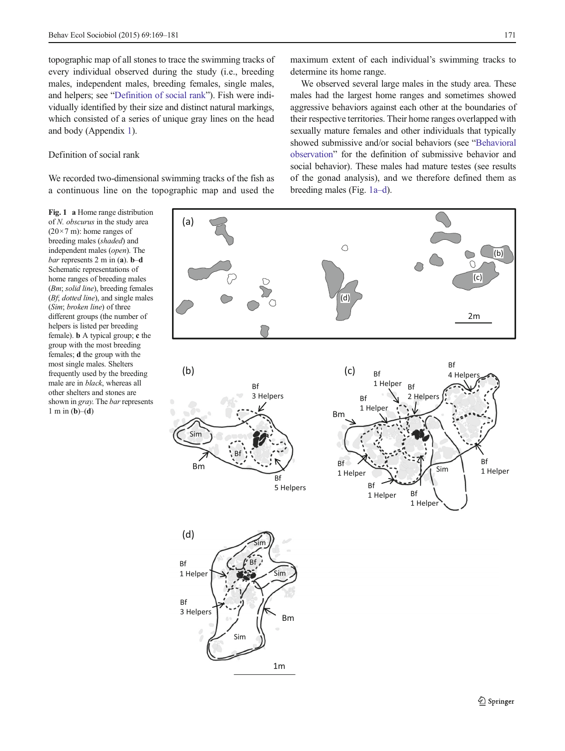<span id="page-2-0"></span>topographic map of all stones to trace the swimming tracks of every individual observed during the study (i.e., breeding males, independent males, breeding females, single males, and helpers; see "Definition of social rank"). Fish were individually identified by their size and distinct natural markings, which consisted of a series of unique gray lines on the head and body (Appendix 1).

# Definition of social rank

We recorded two-dimensional swimming tracks of the fish as a continuous line on the topographic map and used the

## Fig. 1 a Home range distribution of N. obscurus in the study area  $(20\times7 \text{ m})$ : home ranges of breeding males (shaded) and independent males (open). The bar represents 2 m in (a). b–d Schematic representations of home ranges of breeding males (Bm; solid line), breeding females (*Bf*; *dotted line*), and single males (Sim; broken line) of three different groups (the number of helpers is listed per breeding female). b A typical group; c the group with the most breeding females; d the group with the most single males. Shelters frequently used by the breeding male are in black, whereas all other shelters and stones are shown in *gray*. The *bar* represents  $1 \text{ m in } (\mathbf{b})\text{--}(\mathbf{d})$

maximum extent of each individual's swimming tracks to determine its home range.

We observed several large males in the study area. These males had the largest home ranges and sometimes showed aggressive behaviors against each other at the boundaries of their respective territories. Their home ranges overlapped with sexually mature females and other individuals that typically showed submissive and/or social behaviors (see "[Behavioral](#page-3-0) [observation](#page-3-0)" for the definition of submissive behavior and social behavior). These males had mature testes (see results of the gonad analysis), and we therefore defined them as breeding males (Fig. 1a–d).

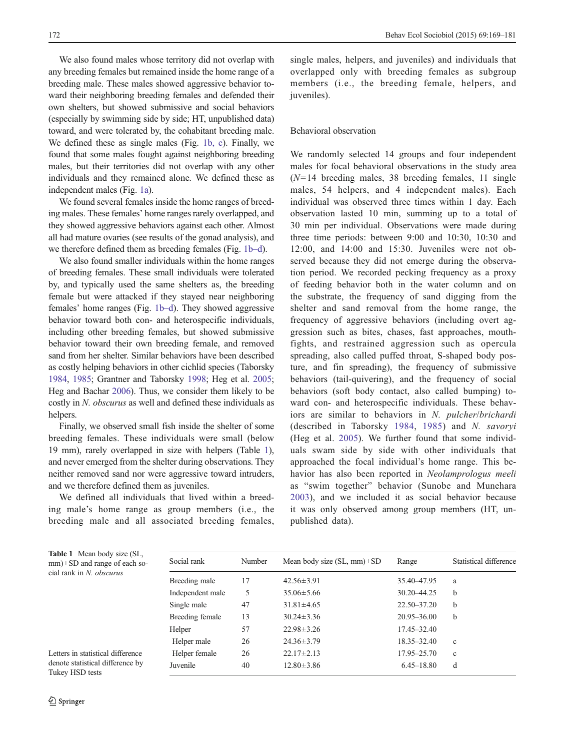<span id="page-3-0"></span>We also found males whose territory did not overlap with any breeding females but remained inside the home range of a breeding male. These males showed aggressive behavior toward their neighboring breeding females and defended their own shelters, but showed submissive and social behaviors (especially by swimming side by side; HT, unpublished data) toward, and were tolerated by, the cohabitant breeding male. We defined these as single males (Fig. [1b, c\)](#page-2-0). Finally, we found that some males fought against neighboring breeding males, but their territories did not overlap with any other individuals and they remained alone. We defined these as independent males (Fig. [1a\)](#page-2-0).

We found several females inside the home ranges of breeding males. These females' home ranges rarely overlapped, and they showed aggressive behaviors against each other. Almost all had mature ovaries (see results of the gonad analysis), and we therefore defined them as breeding females (Fig. [1b](#page-2-0)–d).

We also found smaller individuals within the home ranges of breeding females. These small individuals were tolerated by, and typically used the same shelters as, the breeding female but were attacked if they stayed near neighboring females' home ranges (Fig. [1b](#page-2-0)–d). They showed aggressive behavior toward both con- and heterospecific individuals, including other breeding females, but showed submissive behavior toward their own breeding female, and removed sand from her shelter. Similar behaviors have been described as costly helping behaviors in other cichlid species (Taborsky [1984,](#page-12-0) [1985](#page-12-0); Grantner and Taborsky [1998](#page-11-0); Heg et al. [2005](#page-11-0); Heg and Bachar [2006\)](#page-11-0). Thus, we consider them likely to be costly in N. obscurus as well and defined these individuals as helpers.

Finally, we observed small fish inside the shelter of some breeding females. These individuals were small (below 19 mm), rarely overlapped in size with helpers (Table 1), and never emerged from the shelter during observations. They neither removed sand nor were aggressive toward intruders, and we therefore defined them as juveniles.

We defined all individuals that lived within a breeding male's home range as group members (i.e., the breeding male and all associated breeding females, single males, helpers, and juveniles) and individuals that overlapped only with breeding females as subgroup members (i.e., the breeding female, helpers, and iuveniles).

# Behavioral observation

We randomly selected 14 groups and four independent males for focal behavioral observations in the study area  $(N=14$  breeding males, 38 breeding females, 11 single males, 54 helpers, and 4 independent males). Each individual was observed three times within 1 day. Each observation lasted 10 min, summing up to a total of 30 min per individual. Observations were made during three time periods: between 9:00 and 10:30, 10:30 and 12:00, and 14:00 and 15:30. Juveniles were not observed because they did not emerge during the observation period. We recorded pecking frequency as a proxy of feeding behavior both in the water column and on the substrate, the frequency of sand digging from the shelter and sand removal from the home range, the frequency of aggressive behaviors (including overt aggression such as bites, chases, fast approaches, mouthfights, and restrained aggression such as opercula spreading, also called puffed throat, S-shaped body posture, and fin spreading), the frequency of submissive behaviors (tail-quivering), and the frequency of social behaviors (soft body contact, also called bumping) toward con- and heterospecific individuals. These behaviors are similar to behaviors in N. pulcher/brichardi (described in Taborsky [1984,](#page-12-0) [1985\)](#page-12-0) and N. savoryi (Heg et al. [2005\)](#page-11-0). We further found that some individuals swam side by side with other individuals that approached the focal individual's home range. This behavior has also been reported in Neolamprologus meeli as "swim together" behavior (Sunobe and Munehara [2003](#page-12-0)), and we included it as social behavior because it was only observed among group members (HT, unpublished data).

Social rank Number Mean body size (SL, mm)±SD Range Statistical difference Breeding male 17 42.56±3.91 35.40-47.95 a Independent male 5 35.06±5.66 30.20–44.25 b Single male  $47$   $31.81 \pm 4.65$   $22.50-37.20$  b Breeding female 13 30.24±3.36 20.95–36.00 b Helper 57 22.98±3.26 17.45-32.40 Helper male 26 24.36±3.79 18.35–32.40 c Helper female 26 22.17±2.13 17.95–25.70 c Juvenile 40 12.80±3.86 6.45–18.80 d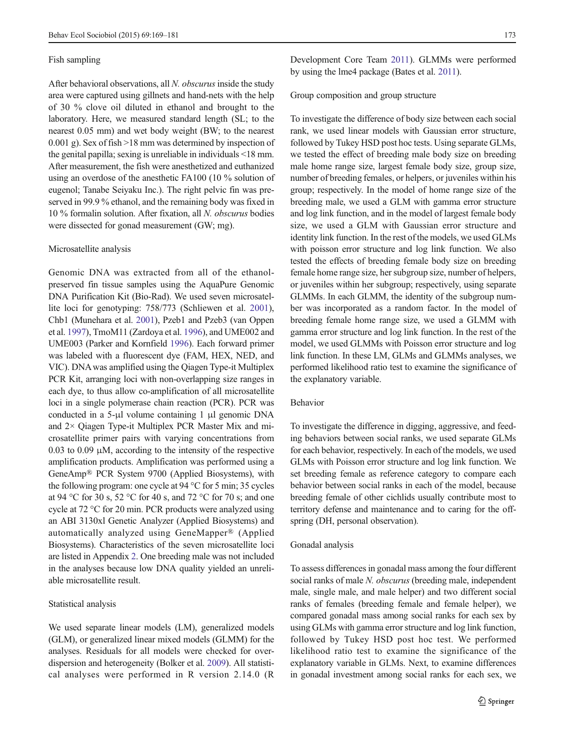## Fish sampling

After behavioral observations, all  $N$ . *obscurus* inside the study area were captured using gillnets and hand-nets with the help of 30 % clove oil diluted in ethanol and brought to the laboratory. Here, we measured standard length (SL; to the nearest 0.05 mm) and wet body weight (BW; to the nearest 0.001 g). Sex of fish >18 mm was determined by inspection of the genital papilla; sexing is unreliable in individuals <18 mm. After measurement, the fish were anesthetized and euthanized using an overdose of the anesthetic FA100 (10 % solution of eugenol; Tanabe Seiyaku Inc.). The right pelvic fin was preserved in 99.9 % ethanol, and the remaining body was fixed in 10 % formalin solution. After fixation, all N. obscurus bodies were dissected for gonad measurement (GW; mg).

## Microsatellite analysis

Genomic DNA was extracted from all of the ethanolpreserved fin tissue samples using the AquaPure Genomic DNA Purification Kit (Bio-Rad). We used seven microsatellite loci for genotyping: 758/773 (Schliewen et al. [2001](#page-11-0)), Chb1 (Munehara et al. [2001](#page-11-0)), Pzeb1 and Pzeb3 (van Oppen et al. [1997\)](#page-12-0), TmoM11 (Zardoya et al. [1996](#page-12-0)), and UME002 and UME003 (Parker and Kornfield [1996\)](#page-11-0). Each forward primer was labeled with a fluorescent dye (FAM, HEX, NED, and VIC). DNAwas amplified using the Qiagen Type-it Multiplex PCR Kit, arranging loci with non-overlapping size ranges in each dye, to thus allow co-amplification of all microsatellite loci in a single polymerase chain reaction (PCR). PCR was conducted in a 5-μl volume containing 1 μl genomic DNA and 2× Qiagen Type-it Multiplex PCR Master Mix and microsatellite primer pairs with varying concentrations from 0.03 to 0.09  $\mu$ M, according to the intensity of the respective amplification products. Amplification was performed using a GeneAmp® PCR System 9700 (Applied Biosystems), with the following program: one cycle at 94 °C for 5 min; 35 cycles at 94 °C for 30 s, 52 °C for 40 s, and 72 °C for 70 s; and one cycle at 72 °C for 20 min. PCR products were analyzed using an ABI 3130xl Genetic Analyzer (Applied Biosystems) and automatically analyzed using GeneMapper® (Applied Biosystems). Characteristics of the seven microsatellite loci are listed in Appendix 2. One breeding male was not included in the analyses because low DNA quality yielded an unreliable microsatellite result.

## Statistical analysis

We used separate linear models (LM), generalized models (GLM), or generalized linear mixed models (GLMM) for the analyses. Residuals for all models were checked for overdispersion and heterogeneity (Bolker et al. [2009](#page-11-0)). All statistical analyses were performed in R version 2.14.0 (R

Development Core Team [2011\)](#page-11-0). GLMMs were performed by using the lme4 package (Bates et al. [2011](#page-11-0)).

Group composition and group structure

To investigate the difference of body size between each social rank, we used linear models with Gaussian error structure, followed by Tukey HSD post hoc tests. Using separate GLMs, we tested the effect of breeding male body size on breeding male home range size, largest female body size, group size, number of breeding females, or helpers, or juveniles within his group; respectively. In the model of home range size of the breeding male, we used a GLM with gamma error structure and log link function, and in the model of largest female body size, we used a GLM with Gaussian error structure and identity link function. In the rest of the models, we used GLMs with poisson error structure and log link function. We also tested the effects of breeding female body size on breeding female home range size, her subgroup size, number of helpers, or juveniles within her subgroup; respectively, using separate GLMMs. In each GLMM, the identity of the subgroup number was incorporated as a random factor. In the model of breeding female home range size, we used a GLMM with gamma error structure and log link function. In the rest of the model, we used GLMMs with Poisson error structure and log link function. In these LM, GLMs and GLMMs analyses, we performed likelihood ratio test to examine the significance of the explanatory variable.

# Behavior

To investigate the difference in digging, aggressive, and feeding behaviors between social ranks, we used separate GLMs for each behavior, respectively. In each of the models, we used GLMs with Poisson error structure and log link function. We set breeding female as reference category to compare each behavior between social ranks in each of the model, because breeding female of other cichlids usually contribute most to territory defense and maintenance and to caring for the offspring (DH, personal observation).

#### Gonadal analysis

To assess differences in gonadal mass among the four different social ranks of male N. obscurus (breeding male, independent male, single male, and male helper) and two different social ranks of females (breeding female and female helper), we compared gonadal mass among social ranks for each sex by using GLMs with gamma error structure and log link function, followed by Tukey HSD post hoc test. We performed likelihood ratio test to examine the significance of the explanatory variable in GLMs. Next, to examine differences in gonadal investment among social ranks for each sex, we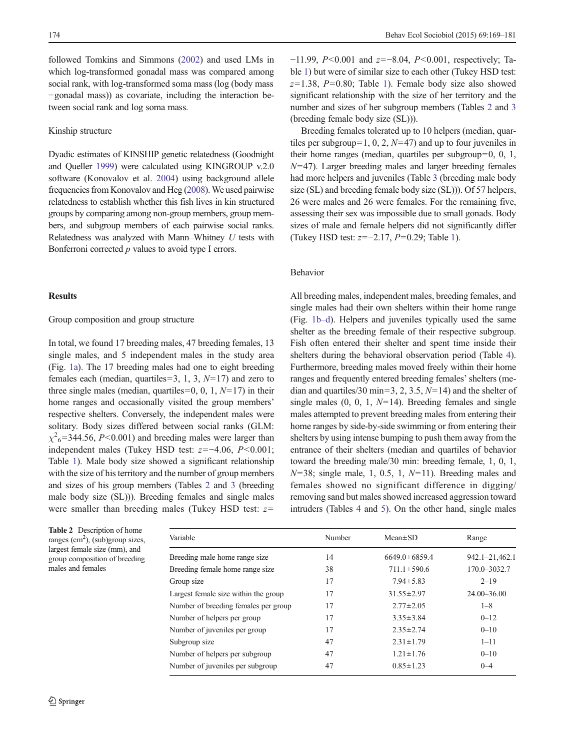followed Tomkins and Simmons [\(2002\)](#page-12-0) and used LMs in which log-transformed gonadal mass was compared among social rank, with log-transformed soma mass (log (body mass −gonadal mass)) as covariate, including the interaction between social rank and log soma mass.

# Kinship structure

Dyadic estimates of KINSHIP genetic relatedness (Goodnight and Queller [1999](#page-11-0)) were calculated using KINGROUP v.2.0 software (Konovalov et al. [2004\)](#page-11-0) using background allele frequencies from Konovalov and Heg [\(2008](#page-11-0)). We used pairwise relatedness to establish whether this fish lives in kin structured groups by comparing among non-group members, group members, and subgroup members of each pairwise social ranks. Relatedness was analyzed with Mann–Whitney U tests with Bonferroni corrected  $p$  values to avoid type I errors.

# **Results**

# Group composition and group structure

In total, we found 17 breeding males, 47 breeding females, 13 single males, and 5 independent males in the study area (Fig. [1a](#page-2-0)). The 17 breeding males had one to eight breeding females each (median, quartiles=3, 1, 3,  $N=17$ ) and zero to three single males (median, quartiles=0, 0, 1,  $N=17$ ) in their home ranges and occasionally visited the group members' respective shelters. Conversely, the independent males were solitary. Body sizes differed between social ranks (GLM:  $\chi^2$ <sub>6</sub>=344.56, P<0.001) and breeding males were larger than independent males (Tukey HSD test:  $z=-4.06$ ,  $P<0.001$ ; Table [1](#page-3-0)). Male body size showed a significant relationship with the size of his territory and the number of group members and sizes of his group members (Tables 2 and [3](#page-6-0) (breeding male body size (SL))). Breeding females and single males were smaller than breeding males (Tukey HSD test:  $z=$ 

| Table 2 Description of home        |
|------------------------------------|
| ranges $(cm2)$ , (sub)group sizes, |
| largest female size (mm), and      |
| group composition of breeding      |
| males and females                  |
|                                    |

−11.99, P<0.001 and z=−8.04, P<0.001, respectively; Table [1](#page-3-0)) but were of similar size to each other (Tukey HSD test:  $z=1.38$ ,  $P=0.80$ ; Table [1\)](#page-3-0). Female body size also showed significant relationship with the size of her territory and the number and sizes of her subgroup members (Tables 2 and [3](#page-6-0) (breeding female body size (SL))).

Breeding females tolerated up to 10 helpers (median, quartiles per subgroup=1, 0, 2,  $N=47$ ) and up to four juveniles in their home ranges (median, quartiles per subgroup=0, 0, 1,  $N=47$ ). Larger breeding males and larger breeding females had more helpers and juveniles (Table [3](#page-6-0) (breeding male body size (SL) and breeding female body size (SL))). Of 57 helpers, 26 were males and 26 were females. For the remaining five, assessing their sex was impossible due to small gonads. Body sizes of male and female helpers did not significantly differ (Tukey HSD test: z=−2.17, P=0.29; Table [1](#page-3-0)).

## Behavior

All breeding males, independent males, breeding females, and single males had their own shelters within their home range (Fig. [1b](#page-2-0)–d). Helpers and juveniles typically used the same shelter as the breeding female of their respective subgroup. Fish often entered their shelter and spent time inside their shelters during the behavioral observation period (Table [4\)](#page-6-0). Furthermore, breeding males moved freely within their home ranges and frequently entered breeding females'shelters (median and quartiles/30 min=3, 2, 3.5,  $N=14$ ) and the shelter of single males  $(0, 0, 1, N=14)$ . Breeding females and single males attempted to prevent breeding males from entering their home ranges by side-by-side swimming or from entering their shelters by using intense bumping to push them away from the entrance of their shelters (median and quartiles of behavior toward the breeding male/30 min: breeding female, 1, 0, 1,  $N=38$ ; single male, 1, 0.5, 1,  $N=11$ ). Breeding males and females showed no significant difference in digging/ removing sand but males showed increased aggression toward intruders (Tables [4](#page-6-0) and [5\)](#page-7-0). On the other hand, single males

| Variable                             | Number | $Mean \pm SD$       | Range           |
|--------------------------------------|--------|---------------------|-----------------|
| Breeding male home range size        | 14     | $6649.0 \pm 6859.4$ | 942.1-21,462.1  |
| Breeding female home range size      | 38     | $711.1 \pm 590.6$   | 170.0-3032.7    |
| Group size                           | 17     | $7.94 \pm 5.83$     | $2 - 19$        |
| Largest female size within the group | 17     | $31.55 \pm 2.97$    | $24.00 - 36.00$ |
| Number of breeding females per group | 17     | $2.77 \pm 2.05$     | $1 - 8$         |
| Number of helpers per group          | 17     | $3.35 \pm 3.84$     | $0 - 12$        |
| Number of juveniles per group        | 17     | $2.35 \pm 2.74$     | $0 - 10$        |
| Subgroup size                        | 47     | $2.31 \pm 1.79$     | $1 - 11$        |
| Number of helpers per subgroup       | 47     | $1.21 \pm 1.76$     | $0 - 10$        |
| Number of juveniles per subgroup     | 47     | $0.85 \pm 1.23$     | $0 - 4$         |
|                                      |        |                     |                 |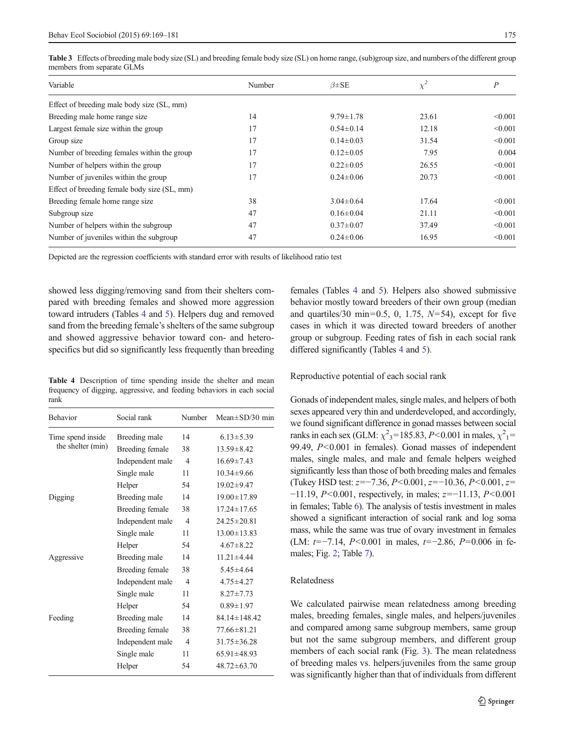| Variable                                     | Number | $\beta \pm SE$  | $\chi^2$ | $\boldsymbol{P}$ |
|----------------------------------------------|--------|-----------------|----------|------------------|
| Effect of breeding male body size (SL, mm)   |        |                 |          |                  |
| Breeding male home range size                | 14     | $9.79 \pm 1.78$ | 23.61    | < 0.001          |
| Largest female size within the group         | 17     | $0.54 \pm 0.14$ | 12.18    | < 0.001          |
| Group size                                   | 17     | $0.14 \pm 0.03$ | 31.54    | < 0.001          |
| Number of breeding females within the group  | 17     | $0.12 \pm 0.05$ | 7.95     | 0.004            |
| Number of helpers within the group           | 17     | $0.22 \pm 0.05$ | 26.55    | < 0.001          |
| Number of juveniles within the group         | 17     | $0.24 \pm 0.06$ | 20.73    | < 0.001          |
| Effect of breeding female body size (SL, mm) |        |                 |          |                  |
| Breeding female home range size              | 38     | $3.04 \pm 0.64$ | 17.64    | < 0.001          |
| Subgroup size                                | 47     | $0.16 \pm 0.04$ | 21.11    | < 0.001          |
| Number of helpers within the subgroup        | 47     | $0.37 \pm 0.07$ | 37.49    | < 0.001          |
| Number of juveniles within the subgroup      | 47     | $0.24 \pm 0.06$ | 16.95    | < 0.001          |
|                                              |        |                 |          |                  |

<span id="page-6-0"></span>Table 3 Effects of breeding male body size (SL) and breeding female body size (SL) on home range, (sub)group size, and numbers of the different group members from separate GLMs

Depicted are the regression coefficients with standard error with results of likelihood ratio test

showed less digging/removing sand from their shelters compared with breeding females and showed more aggression toward intruders (Tables 4 and [5\)](#page-7-0). Helpers dug and removed sand from the breeding female's shelters of the same subgroup and showed aggressive behavior toward con- and heterospecifics but did so significantly less frequently than breeding

Table 4 Description of time spending inside the shelter and mean frequency of digging, aggressive, and feeding behaviors in each social rank

| <b>Behavior</b>       | Social rank      | Number         | Mean $\pm$ SD/30 min |
|-----------------------|------------------|----------------|----------------------|
| Time spend inside     | Breeding male    | 14             | $6.13 \pm 5.39$      |
| the shelter (min)     | Breeding female  | 38             | $13.59 \pm 8.42$     |
|                       | Independent male | $\overline{4}$ | $16.69 \pm 7.43$     |
|                       | Single male      | 11             | $10.34 \pm 9.66$     |
|                       | Helper           | 54             | $19.02 \pm 9.47$     |
| Digging               | Breeding male    | 14             | $19.00 \pm 17.89$    |
|                       | Breeding female  | 38             | $17.24 \pm 17.65$    |
|                       | Independent male | $\overline{4}$ | $24.25 \pm 20.81$    |
|                       | Single male      | 11             | $13.00 \pm 13.83$    |
|                       | Helper           | 54             | $4.67 \pm 8.22$      |
| Aggressive<br>Feeding | Breeding male    | 14             | $11.21 \pm 4.44$     |
|                       | Breeding female  | 38             | $5.45 \pm 4.64$      |
|                       | Independent male | $\overline{4}$ | $4.75 \pm 4.27$      |
|                       | Single male      | 11             | $8.27 \pm 7.73$      |
|                       | Helper           | 54             | $0.89 \pm 1.97$      |
|                       | Breeding male    | 14             | $84.14 \pm 148.42$   |
|                       | Breeding female  | 38             | $77.66 \pm 81.21$    |
|                       | Independent male | $\overline{4}$ | $31.75 \pm 36.28$    |
|                       | Single male      | 11             | $65.91 \pm 48.93$    |
|                       | Helper           | 54             | $48.72 \pm 63.70$    |

females (Tables 4 and [5](#page-7-0)). Helpers also showed submissive behavior mostly toward breeders of their own group (median and quartiles/30 min=0.5, 0, 1.75,  $N=54$ ), except for five cases in which it was directed toward breeders of another group or subgroup. Feeding rates of fish in each social rank differed significantly (Tables 4 and [5\)](#page-7-0).

Reproductive potential of each social rank

Gonads of independent males, single males, and helpers of both sexes appeared very thin and underdeveloped, and accordingly, we found significant difference in gonad masses between social ranks in each sex (GLM:  $\chi^2$ <sub>3</sub>=185.83, *P*<0.001 in males,  $\chi^2$ <sub>1</sub>= 99.49, P<0.001 in females). Gonad masses of independent males, single males, and male and female helpers weighed significantly less than those of both breeding males and females (Tukey HSD test:  $z=-7.36$ ,  $P<0.001$ ,  $z=-10.36$ ,  $P<0.001$ ,  $z=$ −11.19, P<0.001, respectively, in males; z=−11.13, P<0.001 in females; Table [6](#page-7-0)). The analysis of testis investment in males showed a significant interaction of social rank and log soma mass, while the same was true of ovary investment in females (LM:  $t=-7.14$ ,  $P<0.001$  in males,  $t=-2.86$ ,  $P=0.006$  in females; Fig. [2;](#page-7-0) Table [7](#page-8-0)).

## Relatedness

We calculated pairwise mean relatedness among breeding males, breeding females, single males, and helpers/juveniles and compared among same subgroup members, same group but not the same subgroup members, and different group members of each social rank (Fig. [3\)](#page-9-0). The mean relatedness of breeding males vs. helpers/juveniles from the same group was significantly higher than that of individuals from different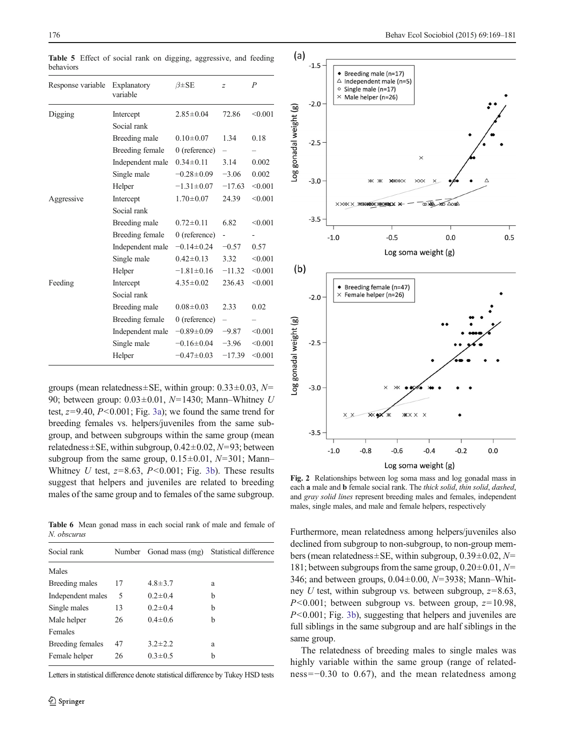| Response variable | Explanatory<br>variable | $\beta \pm SE$   | $\overline{z}$           | $\overline{P}$ |
|-------------------|-------------------------|------------------|--------------------------|----------------|
| Digging           | Intercept               | $2.85 \pm 0.04$  | 72.86                    | < 0.001        |
|                   | Social rank             |                  |                          |                |
|                   | Breeding male           | $0.10 \pm 0.07$  | 1.34                     | 0.18           |
|                   | Breeding female         | $0$ (reference)  | $\overline{\phantom{0}}$ |                |
|                   | Independent male        | $0.34 \pm 0.11$  | 3.14                     | 0.002          |
|                   | Single male             | $-0.28 \pm 0.09$ | $-3.06$                  | 0.002          |
|                   | Helper                  | $-1.31 \pm 0.07$ | $-17.63$                 | < 0.001        |
| Aggressive        | Intercept               | $1.70 \pm 0.07$  | 24.39                    | < 0.001        |
|                   | Social rank             |                  |                          |                |
|                   | Breeding male           | $0.72 \pm 0.11$  | 6.82                     | < 0.001        |
|                   | Breeding female         | $0$ (reference)  |                          |                |
|                   | Independent male        | $-0.14 \pm 0.24$ | $-0.57$                  | 0.57           |
|                   | Single male             | $0.42 \pm 0.13$  | 3.32                     | < 0.001        |
|                   | Helper                  | $-1.81 \pm 0.16$ | $-11.32$                 | < 0.001        |
| Feeding           | Intercept               | $4.35 \pm 0.02$  | 236.43                   | < 0.001        |
|                   | Social rank             |                  |                          |                |
|                   | Breeding male           | $0.08 \pm 0.03$  | 2.33                     | 0.02           |
|                   | Breeding female         | $0$ (reference)  | $\overline{\phantom{0}}$ |                |
|                   | Independent male        | $-0.89 \pm 0.09$ | $-9.87$                  | < 0.001        |
|                   | Single male             | $-0.16 \pm 0.04$ | $-3.96$                  | < 0.001        |
|                   | Helper                  | $-0.47\pm0.03$   | $-17.39$                 | < 0.001        |

<span id="page-7-0"></span>Table 5 Effect of social rank on digging, aggressive, and feeding behaviors

groups (mean relatedness ± SE, within group:  $0.33 \pm 0.03$ ,  $N=$ 90; between group:  $0.03 \pm 0.01$ ,  $N=1430$ ; Mann–Whitney U test,  $z=9.40$ ,  $P<0.001$ ; Fig. [3a](#page-9-0)); we found the same trend for breeding females vs. helpers/juveniles from the same subgroup, and between subgroups within the same group (mean relatedness $\pm$ SE, within subgroup, 0.42 $\pm$ 0.02, N=93; between subgroup from the same group,  $0.15\pm0.01$ ,  $N=301$ ; Mann– Whitney U test,  $z=8.63$ ,  $P<0.001$ ; Fig. [3b\)](#page-9-0). These results suggest that helpers and juveniles are related to breeding males of the same group and to females of the same subgroup.

Table 6 Mean gonad mass in each social rank of male and female of N. obscurus

| Social rank       | Number |               | Gonad mass (mg) Statistical difference |
|-------------------|--------|---------------|----------------------------------------|
| Males             |        |               |                                        |
| Breeding males    | 17     | $4.8 \pm 3.7$ | a                                      |
| Independent males | 5      | $0.2 \pm 0.4$ | b                                      |
| Single males      | 13     | $0.2 \pm 0.4$ | b                                      |
| Male helper       | 26     | $0.4 \pm 0.6$ | b                                      |
| Females           |        |               |                                        |
| Breeding females  | 47     | $3.2 \pm 2.2$ | a                                      |
| Female helper     | 26     | $0.3 \pm 0.5$ | b                                      |
|                   |        |               |                                        |

Letters in statistical difference denote statistical difference by Tukey HSD tests



Fig. 2 Relationships between log soma mass and log gonadal mass in each a male and b female social rank. The thick solid, thin solid, dashed, and gray solid lines represent breeding males and females, independent males, single males, and male and female helpers, respectively

Furthermore, mean relatedness among helpers/juveniles also declined from subgroup to non-subgroup, to non-group members (mean relatedness $\pm$ SE, within subgroup, 0.39 $\pm$ 0.02, N= 181; between subgroups from the same group,  $0.20\pm0.01$ ,  $N=$ 346; and between groups,  $0.04 \pm 0.00$ ,  $N = 3938$ ; Mann–Whitney U test, within subgroup vs. between subgroup,  $z=8.63$ ,  $P<0.001$ ; between subgroup vs. between group,  $z=10.98$ , P<0.001; Fig. [3b](#page-9-0)), suggesting that helpers and juveniles are full siblings in the same subgroup and are half siblings in the same group.

The relatedness of breeding males to single males was highly variable within the same group (range of relatedness=−0.30 to 0.67), and the mean relatedness among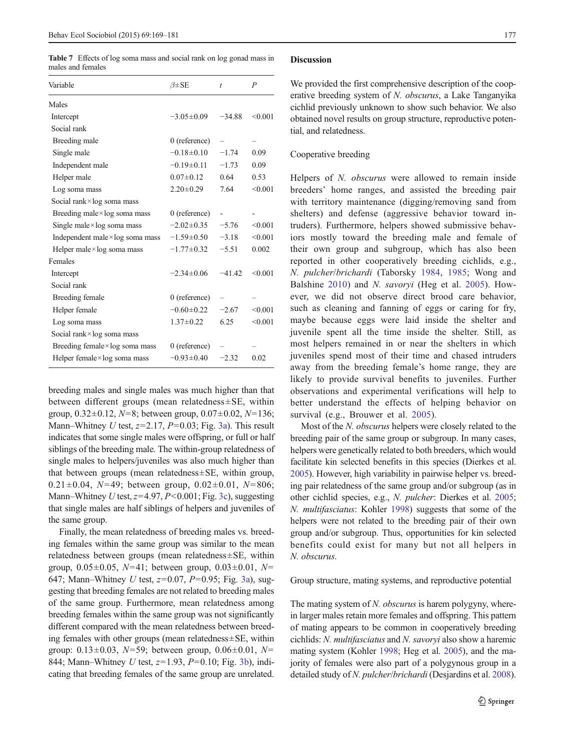<span id="page-8-0"></span>Table 7 Effects of log soma mass and social rank on log gonad mass in males and females

| Variable                                | $\beta \pm SE$   | $\dot{t}$ | $\boldsymbol{P}$ |
|-----------------------------------------|------------------|-----------|------------------|
| Males                                   |                  |           |                  |
| Intercept                               | $-3.05 \pm 0.09$ | $-34.88$  | < 0.001          |
| Social rank                             |                  |           |                  |
| Breeding male                           | $0$ (reference)  |           |                  |
| Single male                             | $-0.18 \pm 0.10$ | $-1.74$   | 0.09             |
| Independent male                        | $-0.19\pm0.11$   | $-1.73$   | 0.09             |
| Helper male                             | $0.07 \pm 0.12$  | 0.64      | 0.53             |
| Log soma mass                           | $2.20 \pm 0.29$  | 7.64      | < 0.001          |
| Social rank $\times$ log soma mass      |                  |           |                  |
| Breeding male $\times$ log soma mass    | $0$ (reference)  |           |                  |
| Single male $\times$ log soma mass      | $-2.02 \pm 0.35$ | $-5.76$   | < 0.001          |
| Independent male $\times$ log soma mass | $-1.59 \pm 0.50$ | $-3.18$   | < 0.001          |
| Helper male $\times$ log soma mass      | $-1.77 \pm 0.32$ | $-5.51$   | 0.002            |
| Females                                 |                  |           |                  |
| Intercept                               | $-2.34 \pm 0.06$ | $-41.42$  | < 0.001          |
| Social rank                             |                  |           |                  |
| Breeding female                         | $0$ (reference)  |           |                  |
| Helper female                           | $-0.60 \pm 0.22$ | $-2.67$   | < 0.001          |
| Log soma mass                           | $1.37 \pm 0.22$  | 6.25      | < 0.001          |
| Social rank $\times$ log soma mass      |                  |           |                  |
| Breeding female $\times$ log soma mass  | $0$ (reference)  |           |                  |
| Helper female×log soma mass             | $-0.93 \pm 0.40$ | $-2.32$   | 0.02             |

breeding males and single males was much higher than that between different groups (mean relatedness±SE, within group,  $0.32 \pm 0.12$ ,  $N=8$ ; between group,  $0.07 \pm 0.02$ ,  $N=136$ ; Mann–Whitney U test,  $z=2.17$ ,  $P=0.03$ ; Fig. [3a](#page-9-0)). This result indicates that some single males were offspring, or full or half siblings of the breeding male. The within-group relatedness of single males to helpers/juveniles was also much higher than that between groups (mean relatedness±SE, within group, 0.21 $\pm$ 0.04, N=49; between group, 0.02 $\pm$ 0.01, N=806; Mann–Whitney U test,  $z=4.97$ ,  $P<0.001$ ; Fig. [3c\)](#page-9-0), suggesting that single males are half siblings of helpers and juveniles of the same group.

Finally, the mean relatedness of breeding males vs. breeding females within the same group was similar to the mean relatedness between groups (mean relatedness±SE, within group,  $0.05 \pm 0.05$ ,  $N=41$ ; between group,  $0.03 \pm 0.01$ ,  $N=$ 647; Mann–Whitney U test,  $z=0.07$ ,  $P=0.95$ ; Fig. [3a](#page-9-0)), suggesting that breeding females are not related to breeding males of the same group. Furthermore, mean relatedness among breeding females within the same group was not significantly different compared with the mean relatedness between breeding females with other groups (mean relatedness±SE, within group:  $0.13 \pm 0.03$ ,  $N=59$ ; between group,  $0.06 \pm 0.01$ ,  $N=$ 844; Mann–Whitney U test,  $z=1.93$ ,  $P=0.10$ ; Fig. [3b](#page-9-0)), indicating that breeding females of the same group are unrelated.

## **Discussion**

We provided the first comprehensive description of the cooperative breeding system of N. obscurus, a Lake Tanganyika cichlid previously unknown to show such behavior. We also obtained novel results on group structure, reproductive potential, and relatedness.

# Cooperative breeding

Helpers of N. obscurus were allowed to remain inside breeders' home ranges, and assisted the breeding pair with territory maintenance (digging/removing sand from shelters) and defense (aggressive behavior toward intruders). Furthermore, helpers showed submissive behaviors mostly toward the breeding male and female of their own group and subgroup, which has also been reported in other cooperatively breeding cichlids, e.g., N. pulcher/brichardi (Taborsky [1984](#page-12-0), [1985](#page-12-0); Wong and Balshine [2010](#page-12-0)) and N. savoryi (Heg et al. [2005](#page-11-0)). However, we did not observe direct brood care behavior, such as cleaning and fanning of eggs or caring for fry, maybe because eggs were laid inside the shelter and juvenile spent all the time inside the shelter. Still, as most helpers remained in or near the shelters in which juveniles spend most of their time and chased intruders away from the breeding female's home range, they are likely to provide survival benefits to juveniles. Further observations and experimental verifications will help to better understand the effects of helping behavior on survival (e.g., Brouwer et al. [2005\)](#page-11-0).

Most of the N. obscurus helpers were closely related to the breeding pair of the same group or subgroup. In many cases, helpers were genetically related to both breeders, which would facilitate kin selected benefits in this species (Dierkes et al. [2005\)](#page-11-0). However, high variability in pairwise helper vs. breeding pair relatedness of the same group and/or subgroup (as in other cichlid species, e.g., N. pulcher: Dierkes et al. [2005;](#page-11-0) N. multifasciatus: Kohler [1998\)](#page-11-0) suggests that some of the helpers were not related to the breeding pair of their own group and/or subgroup. Thus, opportunities for kin selected benefits could exist for many but not all helpers in N. obscurus.

## Group structure, mating systems, and reproductive potential

The mating system of *N. obscurus* is harem polygyny, wherein larger males retain more females and offspring. This pattern of mating appears to be common in cooperatively breeding cichlids: N. multifasciatus and N. savoryi also show a haremic mating system (Kohler [1998;](#page-11-0) Heg et al. [2005\)](#page-11-0), and the majority of females were also part of a polygynous group in a detailed study of N. pulcher/brichardi (Desjardins et al. [2008\)](#page-11-0).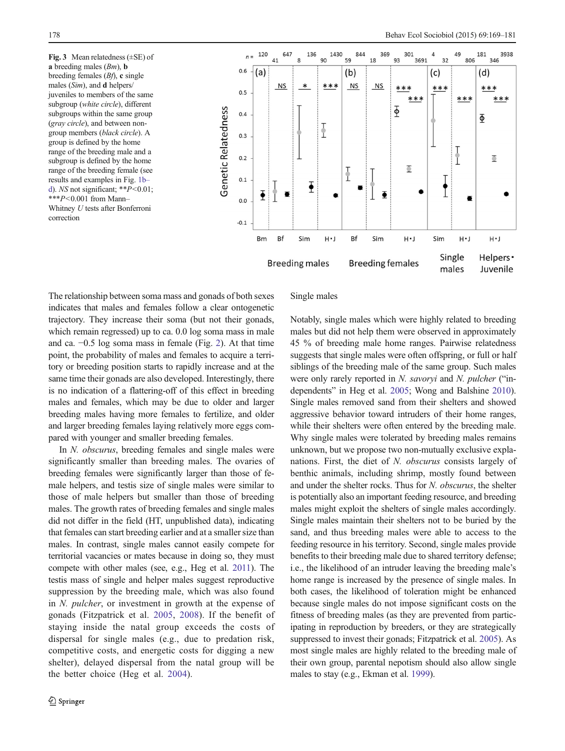<span id="page-9-0"></span>Fig. 3 Mean relatedness (±SE) of a breeding males  $(Bm)$ , **b** breeding females  $(Bf)$ , c single males (Sim), and d helpers/ juveniles to members of the same subgroup (white circle), different subgroups within the same group (gray circle), and between nongroup members (black circle). A group is defined by the home range of the breeding male and a subgroup is defined by the home range of the breeding female (see results and examples in Fig. [1b](#page-2-0)– [d](#page-2-0)). NS not significant;  $*P<0.01$ ;  $***P<0.001$  from Mann-Whitney U tests after Bonferroni correction



The relationship between soma mass and gonads of both sexes indicates that males and females follow a clear ontogenetic trajectory. They increase their soma (but not their gonads, which remain regressed) up to ca. 0.0 log soma mass in male and ca. −0.5 log soma mass in female (Fig. [2](#page-7-0)). At that time point, the probability of males and females to acquire a territory or breeding position starts to rapidly increase and at the same time their gonads are also developed. Interestingly, there is no indication of a flattering-off of this effect in breeding males and females, which may be due to older and larger breeding males having more females to fertilize, and older and larger breeding females laying relatively more eggs compared with younger and smaller breeding females.

In N. obscurus, breeding females and single males were significantly smaller than breeding males. The ovaries of breeding females were significantly larger than those of female helpers, and testis size of single males were similar to those of male helpers but smaller than those of breeding males. The growth rates of breeding females and single males did not differ in the field (HT, unpublished data), indicating that females can start breeding earlier and at a smaller size than males. In contrast, single males cannot easily compete for territorial vacancies or mates because in doing so, they must compete with other males (see, e.g., Heg et al. [2011](#page-11-0)). The testis mass of single and helper males suggest reproductive suppression by the breeding male, which was also found in N. pulcher, or investment in growth at the expense of gonads (Fitzpatrick et al. [2005](#page-11-0), [2008\)](#page-11-0). If the benefit of staying inside the natal group exceeds the costs of dispersal for single males (e.g., due to predation risk, competitive costs, and energetic costs for digging a new shelter), delayed dispersal from the natal group will be the better choice (Heg et al. [2004](#page-11-0)).

## Single males

Notably, single males which were highly related to breeding males but did not help them were observed in approximately 45 % of breeding male home ranges. Pairwise relatedness suggests that single males were often offspring, or full or half siblings of the breeding male of the same group. Such males were only rarely reported in N. savoryi and N. pulcher ("independents" in Heg et al. [2005](#page-11-0); Wong and Balshine [2010\)](#page-12-0). Single males removed sand from their shelters and showed aggressive behavior toward intruders of their home ranges, while their shelters were often entered by the breeding male. Why single males were tolerated by breeding males remains unknown, but we propose two non-mutually exclusive explanations. First, the diet of N. obscurus consists largely of benthic animals, including shrimp, mostly found between and under the shelter rocks. Thus for N. obscurus, the shelter is potentially also an important feeding resource, and breeding males might exploit the shelters of single males accordingly. Single males maintain their shelters not to be buried by the sand, and thus breeding males were able to access to the feeding resource in his territory. Second, single males provide benefits to their breeding male due to shared territory defense; i.e., the likelihood of an intruder leaving the breeding male's home range is increased by the presence of single males. In both cases, the likelihood of toleration might be enhanced because single males do not impose significant costs on the fitness of breeding males (as they are prevented from participating in reproduction by breeders, or they are strategically suppressed to invest their gonads; Fitzpatrick et al. [2005](#page-11-0)). As most single males are highly related to the breeding male of their own group, parental nepotism should also allow single males to stay (e.g., Ekman et al. [1999](#page-11-0)).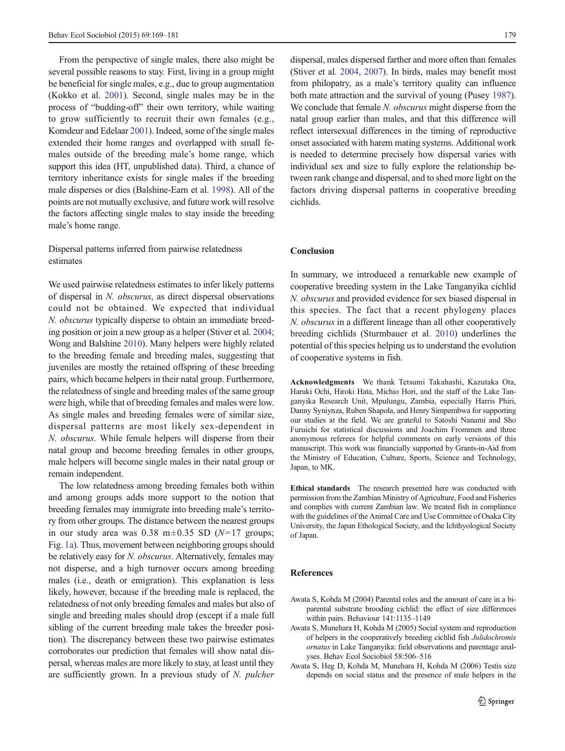<span id="page-10-0"></span>From the perspective of single males, there also might be several possible reasons to stay. First, living in a group might be beneficial for single males, e.g., due to group augmentation (Kokko et al. [2001](#page-11-0)). Second, single males may be in the process of "budding-off" their own territory, while waiting to grow sufficiently to recruit their own females (e.g., Komdeur and Edelaar [2001\)](#page-11-0). Indeed, some of the single males extended their home ranges and overlapped with small females outside of the breeding male's home range, which support this idea (HT, unpublished data). Third, a chance of territory inheritance exists for single males if the breeding male disperses or dies (Balshine-Earn et al. [1998\)](#page-11-0). All of the points are not mutually exclusive, and future work will resolve the factors affecting single males to stay inside the breeding male's home range.

# Dispersal patterns inferred from pairwise relatedness estimates

We used pairwise relatedness estimates to infer likely patterns of dispersal in N. obscurus, as direct dispersal observations could not be obtained. We expected that individual N. obscurus typically disperse to obtain an immediate breeding position or join a new group as a helper (Stiver et al. [2004](#page-12-0); Wong and Balshine [2010\)](#page-12-0). Many helpers were highly related to the breeding female and breeding males, suggesting that juveniles are mostly the retained offspring of these breeding pairs, which became helpers in their natal group. Furthermore, the relatedness of single and breeding males of the same group were high, while that of breeding females and males were low. As single males and breeding females were of similar size, dispersal patterns are most likely sex-dependent in N. obscurus. While female helpers will disperse from their natal group and become breeding females in other groups, male helpers will become single males in their natal group or remain independent.

The low relatedness among breeding females both within and among groups adds more support to the notion that breeding females may immigrate into breeding male's territory from other groups. The distance between the nearest groups in our study area was  $0.38 \text{ m} \pm 0.35 \text{ SD}$  ( $N=17 \text{ groups}$ ; Fig. [1a](#page-2-0)). Thus, movement between neighboring groups should be relatively easy for *N. obscurus*. Alternatively, females may not disperse, and a high turnover occurs among breeding males (i.e., death or emigration). This explanation is less likely, however, because if the breeding male is replaced, the relatedness of not only breeding females and males but also of single and breeding males should drop (except if a male full sibling of the current breeding male takes the breeder position). The discrepancy between these two pairwise estimates corroborates our prediction that females will show natal dispersal, whereas males are more likely to stay, at least until they are sufficiently grown. In a previous study of N. pulcher

dispersal, males dispersed farther and more often than females (Stiver et al. [2004](#page-12-0), [2007\)](#page-12-0). In birds, males may benefit most from philopatry, as a male's territory quality can influence both mate attraction and the survival of young (Pusey [1987\)](#page-11-0). We conclude that female N. *obscurus* might disperse from the natal group earlier than males, and that this difference will reflect intersexual differences in the timing of reproductive onset associated with harem mating systems. Additional work is needed to determine precisely how dispersal varies with individual sex and size to fully explore the relationship between rank change and dispersal, and to shed more light on the factors driving dispersal patterns in cooperative breeding cichlids.

# Conclusion

In summary, we introduced a remarkable new example of cooperative breeding system in the Lake Tanganyika cichlid N. obscurus and provided evidence for sex biased dispersal in this species. The fact that a recent phylogeny places N. obscurus in a different lineage than all other cooperatively breeding cichlids (Sturmbauer et al. [2010](#page-12-0)) underlines the potential of this species helping us to understand the evolution of cooperative systems in fish.

Acknowledgments We thank Tetsumi Takahashi, Kazutaka Ota, Haruki Ochi, Hiroki Hata, Michio Hori, and the staff of the Lake Tanganyika Research Unit, Mpulungu, Zambia, especially Harris Phiri, Danny Syniynza, Ruben Shapola, and Henry Simpembwa for supporting our studies at the field. We are grateful to Satoshi Nanami and Sho Furuichi for statistical discussions and Joachim Frommen and three anonymous referees for helpful comments on early versions of this manuscript. This work was financially supported by Grants-in-Aid from the Ministry of Education, Culture, Sports, Science and Technology, Japan, to MK.

Ethical standards The research presented here was conducted with permission from the Zambian Ministry of Agriculture, Food and Fisheries and complies with current Zambian law. We treated fish in compliance with the guidelines of the Animal Care and Use Committee of Osaka City University, the Japan Ethological Society, and the Ichthyological Society of Japan.

### References

- Awata S, Kohda M (2004) Parental roles and the amount of care in a biparental substrate brooding cichlid: the effect of size differences within pairs. Behaviour 141:1135–1149
- Awata S, Munehara H, Kohda M (2005) Social system and reproduction of helpers in the cooperatively breeding cichlid fish Julidochromis ornatus in Lake Tanganyika: field observations and parentage analyses. Behav Ecol Sociobiol 58:506–516
- Awata S, Heg D, Kohda M, Munehara H, Kohda M (2006) Testis size depends on social status and the presence of male helpers in the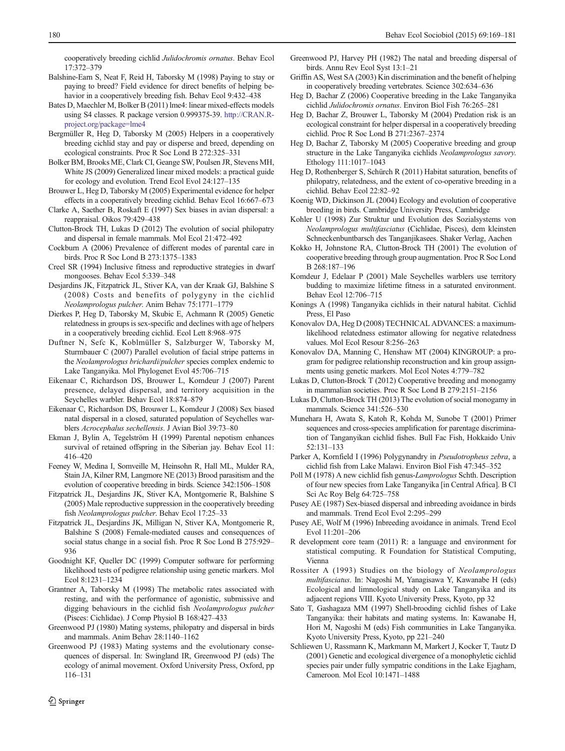- <span id="page-11-0"></span>Balshine-Earn S, Neat F, Reid H, Taborsky M (1998) Paying to stay or paying to breed? Field evidence for direct benefits of helping behavior in a cooperatively breeding fish. Behav Ecol 9:432–438
- Bates D, Maechler M, Bolker B (2011) lme4: linear mixed-effects models using S4 classes. R package version 0.999375-39. [http://CRAN.R](http://cran.r-project.org/package=lme4)[project.org/package=lme4](http://cran.r-project.org/package=lme4)
- Bergmüller R, Heg D, Taborsky M (2005) Helpers in a cooperatively breeding cichlid stay and pay or disperse and breed, depending on ecological constraints. Proc R Soc Lond B 272:325–331
- Bolker BM, Brooks ME, Clark CI, Geange SW, Poulsen JR, Stevens MH, White JS (2009) Generalized linear mixed models: a practical guide for ecology and evolution. Trend Ecol Evol 24:127–135
- Brouwer L, Heg D, Taborsky M (2005) Experimental evidence for helper effects in a cooperatively breeding cichlid. Behav Ecol 16:667–673
- Clarke A, Saether B, Roskaft E (1997) Sex biases in avian dispersal: a reappraisal. Oikos 79:429–438
- Clutton-Brock TH, Lukas D (2012) The evolution of social philopatry and dispersal in female mammals. Mol Ecol 21:472–492
- Cockburn A (2006) Prevalence of different modes of parental care in birds. Proc R Soc Lond B 273:1375–1383
- Creel SR (1994) Inclusive fitness and reproductive strategies in dwarf mongooses. Behav Ecol 5:339–348
- Desjardins JK, Fitzpatrick JL, Stiver KA, van der Kraak GJ, Balshine S (2008) Costs and benefits of polygyny in the cichlid Neolamprologus pulcher. Anim Behav 75:1771–1779
- Dierkes P, Heg D, Taborsky M, Skubic E, Achmann R (2005) Genetic relatedness in groups is sex-specific and declines with age of helpers in a cooperatively breeding cichlid. Ecol Lett 8:968–975
- Duftner N, Sefc K, Koblmüller S, Salzburger W, Taborsky M, Sturmbauer C (2007) Parallel evolution of facial stripe patterns in the Neolamprologus brichardi/pulcher species complex endemic to Lake Tanganyika. Mol Phylogenet Evol 45:706–715
- Eikenaar C, Richardson DS, Brouwer L, Komdeur J (2007) Parent presence, delayed dispersal, and territory acquisition in the Seychelles warbler. Behav Ecol 18:874–879
- Eikenaar C, Richardson DS, Brouwer L, Komdeur J (2008) Sex biased natal dispersal in a closed, saturated population of Seychelles warblers Acrocephalus sechellensis. J Avian Biol 39:73–80
- Ekman J, Bylin A, Tegelström H (1999) Parental nepotism enhances survival of retained offspring in the Siberian jay. Behav Ecol 11: 416–420
- Feeney W, Medina I, Somveille M, Heinsohn R, Hall ML, Mulder RA, Stain JA, Kilner RM, Langmore NE (2013) Brood parasitism and the evolution of cooperative breeding in birds. Science 342:1506–1508
- Fitzpatrick JL, Desjardins JK, Stiver KA, Montgomerie R, Balshine S (2005) Male reproductive suppression in the cooperatively breeding fish Neolamprologus pulcher. Behav Ecol 17:25–33
- Fitzpatrick JL, Desjardins JK, Milligan N, Stiver KA, Montgomerie R, Balshine S (2008) Female-mediated causes and consequences of social status change in a social fish. Proc R Soc Lond B 275:929– 936
- Goodnight KF, Queller DC (1999) Computer software for performing likelihood tests of pedigree relationship using genetic markers. Mol Ecol 8:1231–1234
- Grantner A, Taborsky M (1998) The metabolic rates associated with resting, and with the performance of agonistic, submissive and digging behaviours in the cichlid fish Neolamprologus pulcher (Pisces: Cichlidae). J Comp Physiol B 168:427–433
- Greenwood PJ (1980) Mating systems, philopatry and dispersal in birds and mammals. Anim Behav 28:1140–1162
- Greenwood PJ (1983) Mating systems and the evolutionary consequences of dispersal. In: Swingland IR, Greenwood PJ (eds) The ecology of animal movement. Oxford University Press, Oxford, pp 116–131
- Greenwood PJ, Harvey PH (1982) The natal and breeding dispersal of birds. Annu Rev Ecol Syst 13:1–21
- Griffin AS, West SA (2003) Kin discrimination and the benefit of helping in cooperatively breeding vertebrates. Science 302:634–636
- Heg D, Bachar Z (2006) Cooperative breeding in the Lake Tanganyika cichlid Julidochromis ornatus. Environ Biol Fish 76:265–281
- Heg D, Bachar Z, Brouwer L, Taborsky M (2004) Predation risk is an ecological constraint for helper dispersal in a cooperatively breeding cichlid. Proc R Soc Lond B 271:2367–2374
- Heg D, Bachar Z, Taborsky M (2005) Cooperative breeding and group structure in the Lake Tanganyika cichlids Neolamprologus savory. Ethology 111:1017–1043
- Heg D, Rothenberger S, Schürch R (2011) Habitat saturation, benefits of philopatry, relatedness, and the extent of co-operative breeding in a cichlid. Behav Ecol 22:82–92
- Koenig WD, Dickinson JL (2004) Ecology and evolution of cooperative breeding in birds. Cambridge University Press, Cambridge
- Kohler U (1998) Zur Struktur und Evolution des Sozialsystems von Neolamprologus multifasciatus (Cichlidae, Pisces), dem kleinsten Schneckenbuntbarsch des Tanganjikasees. Shaker Verlag, Aachen
- Kokko H, Johnstone RA, Clutton-Brock TH (2001) The evolution of cooperative breeding through group augmentation. Proc R Soc Lond B 268:187–196
- Komdeur J, Edelaar P (2001) Male Seychelles warblers use territory budding to maximize lifetime fitness in a saturated environment. Behav Ecol 12:706–715
- Konings A (1998) Tanganyika cichlids in their natural habitat. Cichlid Press, El Paso
- Konovalov DA, Heg D (2008) TECHNICAL ADVANCES: a maximumlikelihood relatedness estimator allowing for negative relatedness values. Mol Ecol Resour 8:256–263
- Konovalov DA, Manning C, Henshaw MT (2004) KINGROUP: a program for pedigree relationship reconstruction and kin group assignments using genetic markers. Mol Ecol Notes 4:779–782
- Lukas D, Clutton-Brock T (2012) Cooperative breeding and monogamy in mammalian societies. Proc R Soc Lond B 279:2151–2156
- Lukas D, Clutton-Brock TH (2013) The evolution of social monogamy in mammals. Science 341:526–530
- Munehara H, Awata S, Katoh R, Kohda M, Sunobe T (2001) Primer sequences and cross-species amplification for parentage discrimination of Tanganyikan cichlid fishes. Bull Fac Fish, Hokkaido Univ 52:131–133
- Parker A, Kornfield I (1996) Polygynandry in Pseudotropheus zebra, a cichlid fish from Lake Malawi. Environ Biol Fish 47:345–352
- Poll M (1978) A new cichlid fish genus-Lamprologus Schth. Description of four new species from Lake Tanganyika [in Central Africa]. B Cl Sci Ac Roy Belg 64:725–758
- Pusey AE (1987) Sex-biased dispersal and inbreeding avoidance in birds and mammals. Trend Ecol Evol 2:295–299
- Pusey AE, Wolf M (1996) Inbreeding avoidance in animals. Trend Ecol Evol 11:201–206
- R development core team (2011) R: a language and environment for statistical computing. R Foundation for Statistical Computing, Vienna
- Rossiter A (1993) Studies on the biology of Neolamprologus multifasciatus. In: Nagoshi M, Yanagisawa Y, Kawanabe H (eds) Ecological and limnological study on Lake Tanganyika and its adjacent regions VIII. Kyoto University Press, Kyoto, pp 32
- Sato T, Gashagaza MM (1997) Shell-brooding cichlid fishes of Lake Tanganyika: their habitats and mating systems. In: Kawanabe H, Hori M, Nagoshi M (eds) Fish communities in Lake Tanganyika. Kyoto University Press, Kyoto, pp 221–240
- Schliewen U, Rassmann K, Markmann M, Markert J, Kocker T, Tautz D (2001) Genetic and ecological divergence of a monophyletic cichlid species pair under fully sympatric conditions in the Lake Ejagham, Cameroon. Mol Ecol 10:1471–1488